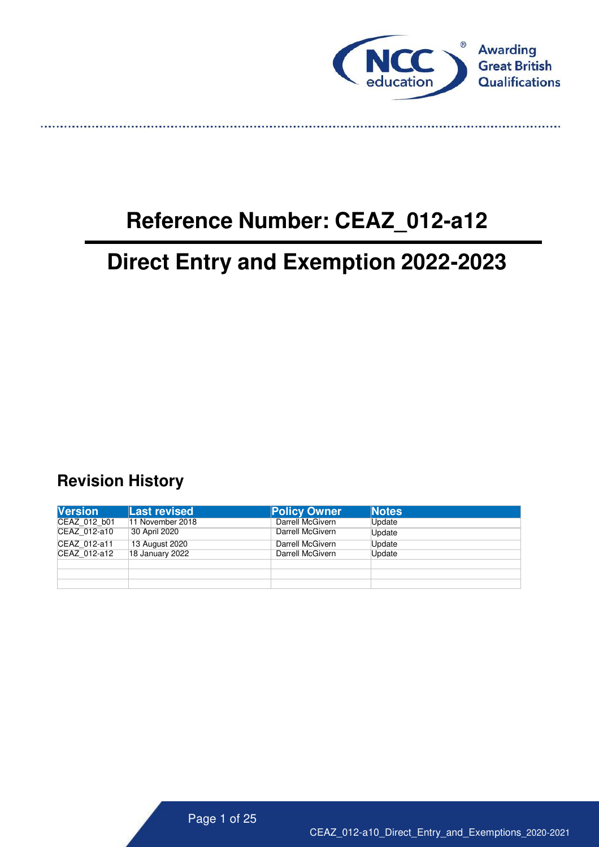

. . . . . . . . . . . . . . .

# **Reference Number: CEAZ\_012-a12**

# **Direct Entry and Exemption 2022-2023**

# <span id="page-0-0"></span>**Revision History**

| <b>Version</b> | <b>Last revised</b> | <b>Policy Owner</b> | <b>Notes</b> |
|----------------|---------------------|---------------------|--------------|
| CEAZ 012 b01   | 11 November 2018    | Darrell McGivern    | Update       |
| CEAZ 012-a10   | 30 April 2020       | Darrell McGivern    | Update       |
| CEAZ 012-a11   | 13 August 2020      | Darrell McGivern    | Update       |
| CEAZ 012-a12   | 18 January 2022     | Darrell McGivern    | Update       |
|                |                     |                     |              |
|                |                     |                     |              |
|                |                     |                     |              |

Page 1 of 25

CEAZ\_012-a10\_Direct\_Entry\_and\_Exemptions\_2020-2021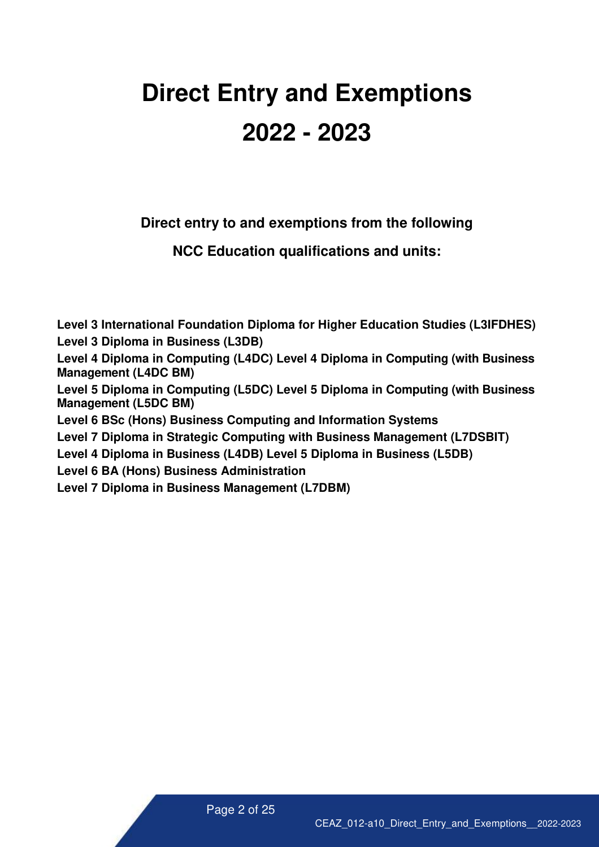# **Direct Entry and Exemptions 2022 - 2023**

**Direct entry to and exemptions from the following**

**NCC Education qualifications and units:**

**Level 3 International Foundation Diploma for Higher Education Studies (L3IFDHES) Level 3 Diploma in Business (L3DB) Level 4 Diploma in Computing (L4DC) Level 4 Diploma in Computing (with Business Management (L4DC BM) Level 5 Diploma in Computing (L5DC) Level 5 Diploma in Computing (with Business Management (L5DC BM) Level 6 BSc (Hons) Business Computing and Information Systems Level 7 Diploma in Strategic Computing with Business Management (L7DSBIT) Level 4 Diploma in Business (L4DB) Level 5 Diploma in Business (L5DB) Level 6 BA (Hons) Business Administration Level 7 Diploma in Business Management (L7DBM)**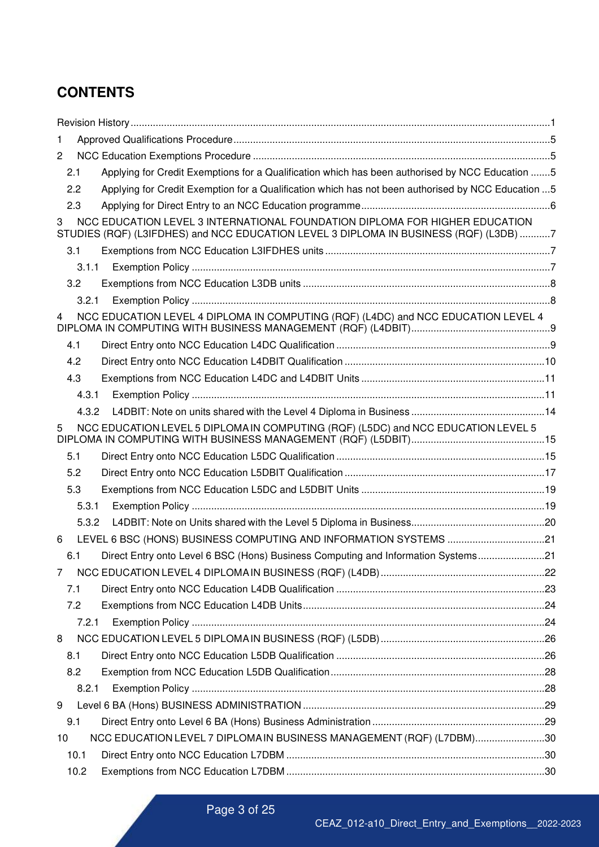# **CONTENTS**

| 1.             |       |                                                                                                                                                                      |  |
|----------------|-------|----------------------------------------------------------------------------------------------------------------------------------------------------------------------|--|
| $\mathbf{2}$   |       |                                                                                                                                                                      |  |
|                | 2.1   | Applying for Credit Exemptions for a Qualification which has been authorised by NCC Education 5                                                                      |  |
|                | 2.2   | Applying for Credit Exemption for a Qualification which has not been authorised by NCC Education  5                                                                  |  |
|                | 2.3   |                                                                                                                                                                      |  |
| 3              |       | NCC EDUCATION LEVEL 3 INTERNATIONAL FOUNDATION DIPLOMA FOR HIGHER EDUCATION<br>STUDIES (RQF) (L3IFDHES) and NCC EDUCATION LEVEL 3 DIPLOMA IN BUSINESS (RQF) (L3DB) 7 |  |
|                | 3.1   |                                                                                                                                                                      |  |
|                | 3.1.1 |                                                                                                                                                                      |  |
|                | 3.2   |                                                                                                                                                                      |  |
|                | 3.2.1 |                                                                                                                                                                      |  |
| 4              |       | NCC EDUCATION LEVEL 4 DIPLOMA IN COMPUTING (RQF) (L4DC) and NCC EDUCATION LEVEL 4                                                                                    |  |
|                | 4.1   |                                                                                                                                                                      |  |
|                | 4.2   |                                                                                                                                                                      |  |
|                | 4.3   |                                                                                                                                                                      |  |
|                | 4.3.1 |                                                                                                                                                                      |  |
|                | 4.3.2 |                                                                                                                                                                      |  |
| 5              |       | NCC EDUCATION LEVEL 5 DIPLOMA IN COMPUTING (RQF) (L5DC) and NCC EDUCATION LEVEL 5                                                                                    |  |
|                | 5.1   |                                                                                                                                                                      |  |
|                | 5.2   |                                                                                                                                                                      |  |
|                | 5.3   |                                                                                                                                                                      |  |
|                | 5.3.1 |                                                                                                                                                                      |  |
|                | 5.3.2 |                                                                                                                                                                      |  |
| 6              |       |                                                                                                                                                                      |  |
|                | 6.1   | Direct Entry onto Level 6 BSC (Hons) Business Computing and Information Systems21                                                                                    |  |
| $\overline{7}$ |       |                                                                                                                                                                      |  |
|                | 7.1   |                                                                                                                                                                      |  |
|                | 7.2   |                                                                                                                                                                      |  |
|                | 7.2.1 |                                                                                                                                                                      |  |
| 8              |       |                                                                                                                                                                      |  |
|                | 8.1   |                                                                                                                                                                      |  |
|                | 8.2   |                                                                                                                                                                      |  |
|                | 8.2.1 |                                                                                                                                                                      |  |
| 9              |       |                                                                                                                                                                      |  |
|                | 9.1   |                                                                                                                                                                      |  |
| 10             |       | NCC EDUCATION LEVEL 7 DIPLOMA IN BUSINESS MANAGEMENT (RQF) (L7DBM)30                                                                                                 |  |
|                | 10.1  |                                                                                                                                                                      |  |
|                | 10.2  |                                                                                                                                                                      |  |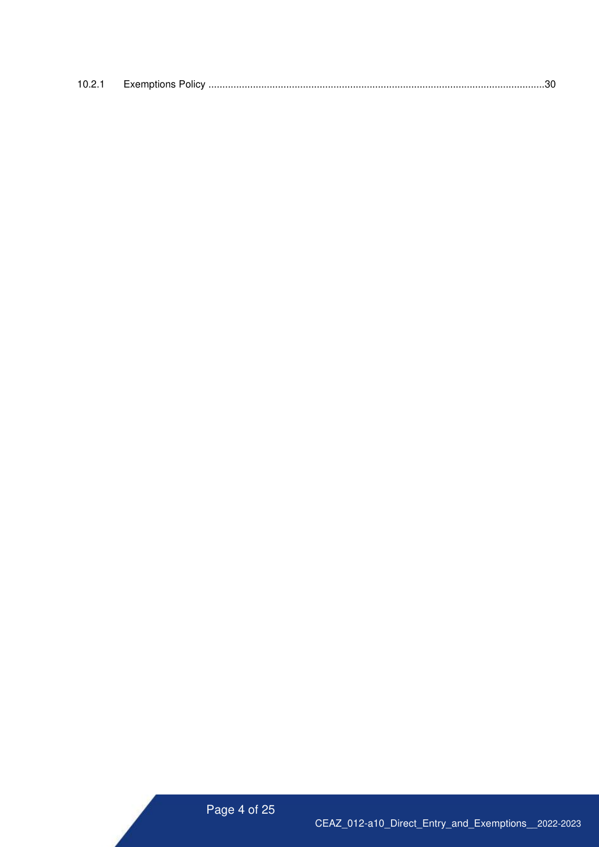| 10.2.1 |  |
|--------|--|
|        |  |

Page 4 of 25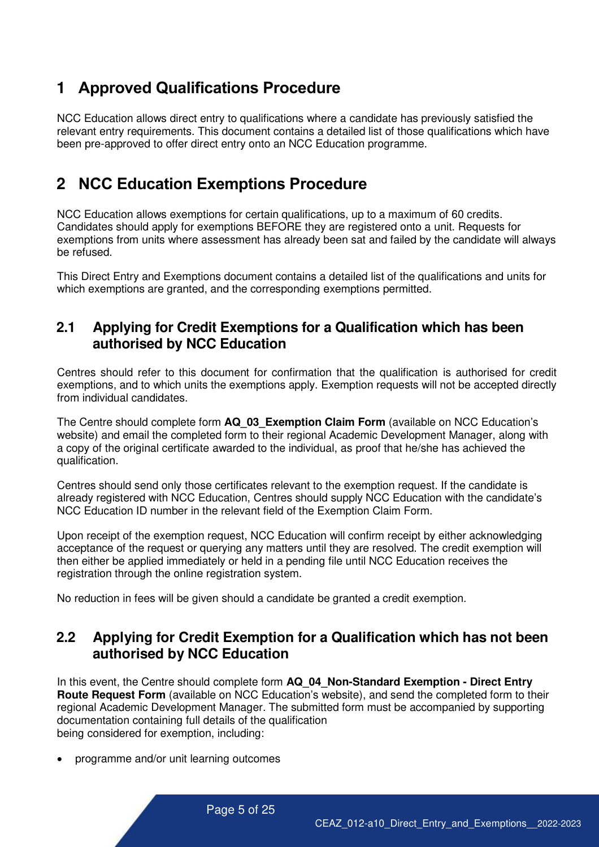# <span id="page-4-0"></span>**1 Approved Qualifications Procedure**

NCC Education allows direct entry to qualifications where a candidate has previously satisfied the relevant entry requirements. This document contains a detailed list of those qualifications which have been pre-approved to offer direct entry onto an NCC Education programme.

# <span id="page-4-1"></span>**2 NCC Education Exemptions Procedure**

NCC Education allows exemptions for certain qualifications, up to a maximum of 60 credits. Candidates should apply for exemptions BEFORE they are registered onto a unit. Requests for exemptions from units where assessment has already been sat and failed by the candidate will always be refused.

This Direct Entry and Exemptions document contains a detailed list of the qualifications and units for which exemptions are granted, and the corresponding exemptions permitted.

#### <span id="page-4-2"></span>**2.1 Applying for Credit Exemptions for a Qualification which has been authorised by NCC Education**

Centres should refer to this document for confirmation that the qualification is authorised for credit exemptions, and to which units the exemptions apply. Exemption requests will not be accepted directly from individual candidates.

The Centre should complete form **AQ\_03\_Exemption Claim Form** (available on NCC Education's website) and email the completed form to their regional Academic Development Manager, along with a copy of the original certificate awarded to the individual, as proof that he/she has achieved the qualification.

Centres should send only those certificates relevant to the exemption request. If the candidate is already registered with NCC Education, Centres should supply NCC Education with the candidate's NCC Education ID number in the relevant field of the Exemption Claim Form.

Page 5 of 25 Upon receipt of the exemption request, NCC Education will confirm receipt by either acknowledging acceptance of the request or querying any matters until they are resolved. The credit exemption will then either be applied immediately or held in a pending file until NCC Education receives the registration through the online registration system.

No reduction in fees will be given should a candidate be granted a credit exemption.

#### <span id="page-4-3"></span>**2.2 Applying for Credit Exemption for a Qualification which has not been authorised by NCC Education**

In this event, the Centre should complete form **AQ\_04\_Non-Standard Exemption - Direct Entry Route Request Form** (available on NCC Education's website), and send the completed form to their regional Academic Development Manager. The submitted form must be accompanied by supporting documentation containing full details of the qualification being considered for exemption, including:

• programme and/or unit learning outcomes

Page 5 of 25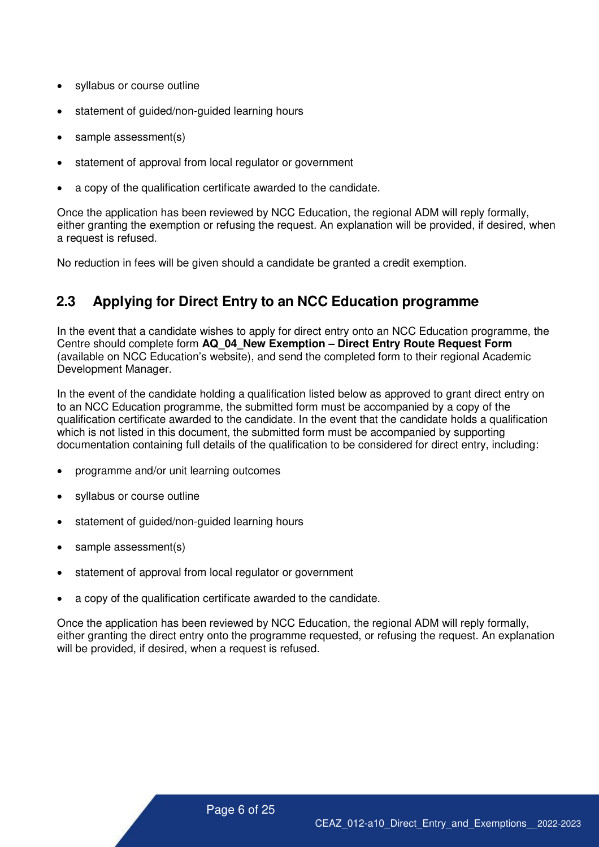- syllabus or course outline
- statement of guided/non-guided learning hours
- sample assessment(s)
- statement of approval from local regulator or government
- a copy of the qualification certificate awarded to the candidate.

Once the application has been reviewed by NCC Education, the regional ADM will reply formally, either granting the exemption or refusing the request. An explanation will be provided, if desired, when a request is refused.

No reduction in fees will be given should a candidate be granted a credit exemption.

#### <span id="page-5-0"></span>**2.3 Applying for Direct Entry to an NCC Education programme**

In the event that a candidate wishes to apply for direct entry onto an NCC Education programme, the Centre should complete form **AQ\_04\_New Exemption – Direct Entry Route Request Form**  (available on NCC Education's website), and send the completed form to their regional Academic Development Manager.

In the event of the candidate holding a qualification listed below as approved to grant direct entry on to an NCC Education programme, the submitted form must be accompanied by a copy of the qualification certificate awarded to the candidate. In the event that the candidate holds a qualification which is not listed in this document, the submitted form must be accompanied by supporting documentation containing full details of the qualification to be considered for direct entry, including:

- programme and/or unit learning outcomes
- syllabus or course outline
- statement of guided/non-guided learning hours
- sample assessment(s)
- statement of approval from local regulator or government
- $\blacksquare$ date. • a copy of the qualification certificate awarded to the candidate.

Once the application has been reviewed by NCC Education, the regional ADM will reply formally, either granting the direct entry onto the programme requested, or refusing the request. An explanation will be provided, if desired, when a request is refused.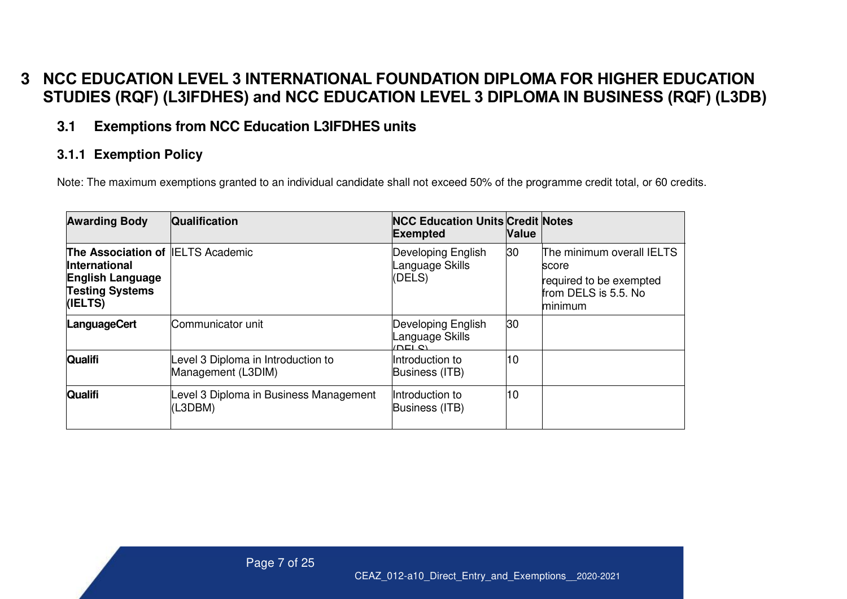## **3 NCC EDUCATION LEVEL 3 INTERNATIONAL FOUNDATION DIPLOMA FOR HIGHER EDUCATION STUDIES (RQF) (L3IFDHES) and NCC EDUCATION LEVEL 3 DIPLOMA IN BUSINESS (RQF) (L3DB)**

#### **3.1 Exemptions from NCC Education L3IFDHES units**

#### **3.1.1 Exemption Policy**

Note: The maximum exemptions granted to an individual candidate shall not exceed 50% of the programme credit total, or 60 credits.

<span id="page-6-2"></span><span id="page-6-1"></span><span id="page-6-0"></span>

| <b>Awarding Body</b>                                                                                                      | <b>Qualification</b>                                    | <b>NCC Education Units Credit Notes</b><br>Exempted | <b>Value</b> |                                                                                                  |
|---------------------------------------------------------------------------------------------------------------------------|---------------------------------------------------------|-----------------------------------------------------|--------------|--------------------------------------------------------------------------------------------------|
| The Association of IELTS Academic<br><b>International</b><br><b>English Language</b><br><b>Testing Systems</b><br>(IELTS) |                                                         | Developing English<br>Language Skills<br>(DELS)     | 30           | The minimum overall IELTS<br>score<br>required to be exempted<br>from DELS is 5.5. No<br>minimum |
| <b>LanguageCert</b>                                                                                                       | Communicator unit                                       | Developing English<br>Language Skills<br>ים וחתו    | 30           |                                                                                                  |
| <b>Qualifi</b>                                                                                                            | evel 3 Diploma in Introduction to<br>Management (L3DIM) | Introduction to<br>Business (ITB)                   | 10           |                                                                                                  |
| <b>Qualifi</b>                                                                                                            | evel 3 Diploma in Business Management<br>(L3DBM)        | Introduction to<br>Business (ITB)                   | 10           |                                                                                                  |

Page 7 of 25

CEAZ\_012-a10\_Direct\_Entry\_and\_Exemptions\_\_2020-2021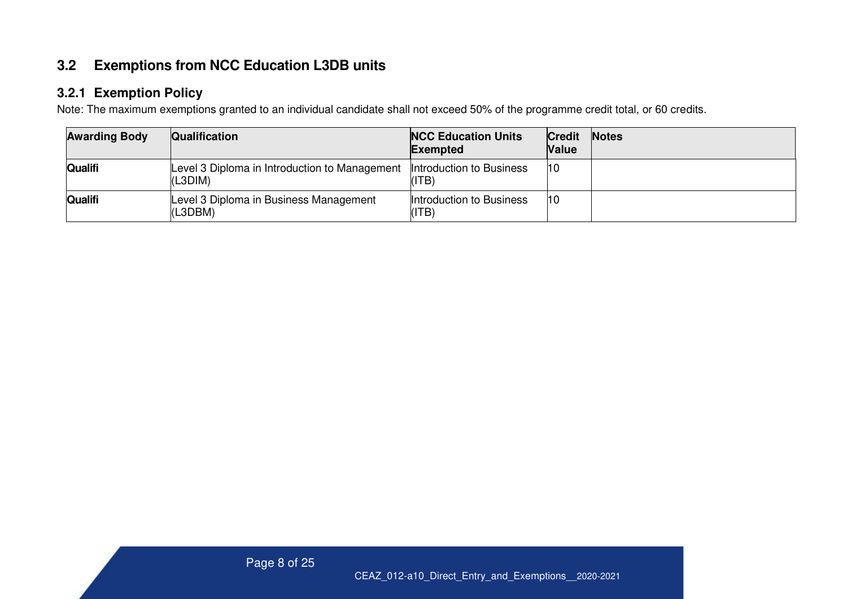#### **3.2 Exemptions from NCC Education L3DB units**

#### **3.2.1 Exemption Policy**

Note: The maximum exemptions granted to an individual candidate shall not exceed 50% of the programme credit total, or 60 credits.

<span id="page-7-1"></span><span id="page-7-0"></span>

| <b>Awarding Body</b> | <b>Qualification</b>                                     | <b>NCC Education Units</b><br><b>Exempted</b> | <b>Credit</b><br><b>Value</b> | <b>Notes</b> |
|----------------------|----------------------------------------------------------|-----------------------------------------------|-------------------------------|--------------|
| Qualifi              | Level 3 Diploma in Introduction to Management<br>(L3DIM) | Introduction to Business<br>(ITB)             | 10                            |              |
| <b>Qualifi</b>       | Level 3 Diploma in Business Management<br>(L3DBM)        | Introduction to Business<br>(ITB)             | 10                            |              |

Page 8 of 25

CEAZ\_012-a10\_Direct\_Entry\_and\_Exemptions\_\_2020-2021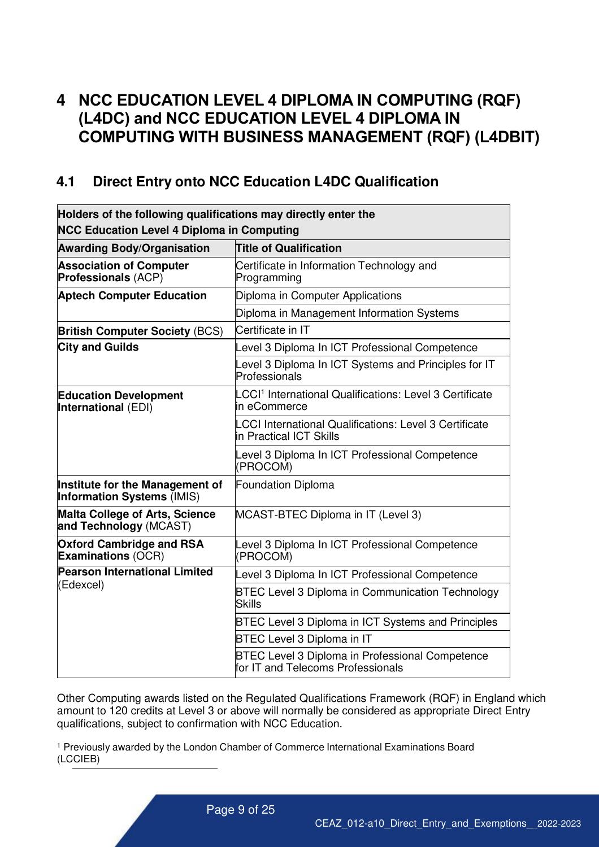# <span id="page-8-0"></span>**4 NCC EDUCATION LEVEL 4 DIPLOMA IN COMPUTING (RQF) (L4DC) and NCC EDUCATION LEVEL 4 DIPLOMA IN COMPUTING WITH BUSINESS MANAGEMENT (RQF) (L4DBIT)**

#### <span id="page-8-1"></span>**4.1 Direct Entry onto NCC Education L4DC Qualification**

| Holders of the following qualifications may directly enter the  |                                                                                             |  |  |  |  |
|-----------------------------------------------------------------|---------------------------------------------------------------------------------------------|--|--|--|--|
| <b>NCC Education Level 4 Diploma in Computing</b>               |                                                                                             |  |  |  |  |
| <b>Awarding Body/Organisation</b>                               | <b>Title of Qualification</b>                                                               |  |  |  |  |
| <b>Association of Computer</b><br><b>Professionals (ACP)</b>    | Certificate in Information Technology and<br>Programming                                    |  |  |  |  |
| <b>Aptech Computer Education</b>                                | Diploma in Computer Applications                                                            |  |  |  |  |
|                                                                 | Diploma in Management Information Systems                                                   |  |  |  |  |
| <b>British Computer Society (BCS)</b>                           | Certificate in IT                                                                           |  |  |  |  |
| <b>City and Guilds</b>                                          | evel 3 Diploma In ICT Professional Competence                                               |  |  |  |  |
|                                                                 | evel 3 Diploma In ICT Systems and Principles for IT<br>Professionals                        |  |  |  |  |
| <b>Education Development</b><br>International (EDI)             | CCI <sup>1</sup> International Qualifications: Level 3 Certificate<br>in eCommerce          |  |  |  |  |
|                                                                 | <b>CCI International Qualifications: Level 3 Certificate</b><br>in Practical ICT Skills     |  |  |  |  |
|                                                                 | Level 3 Diploma In ICT Professional Competence<br>(PROCOM)                                  |  |  |  |  |
| Institute for the Management of<br>Information Systems (IMIS)   | <b>Foundation Diploma</b>                                                                   |  |  |  |  |
| <b>Malta College of Arts, Science</b><br>and Technology (MCAST) | MCAST-BTEC Diploma in IT (Level 3)                                                          |  |  |  |  |
| <b>Oxford Cambridge and RSA</b><br><b>Examinations (OCR)</b>    | Level 3 Diploma In ICT Professional Competence<br>(PROCOM)                                  |  |  |  |  |
| <b>Pearson International Limited</b>                            | Level 3 Diploma In ICT Professional Competence                                              |  |  |  |  |
| (Edexcel)                                                       | <b>BTEC Level 3 Diploma in Communication Technology</b><br><b>Skills</b>                    |  |  |  |  |
|                                                                 | <b>BTEC Level 3 Diploma in ICT Systems and Principles</b>                                   |  |  |  |  |
|                                                                 | <b>BTEC Level 3 Diploma in IT</b>                                                           |  |  |  |  |
|                                                                 | <b>BTEC Level 3 Diploma in Professional Competence</b><br>for IT and Telecoms Professionals |  |  |  |  |
|                                                                 |                                                                                             |  |  |  |  |

Other Computing awards listed on the Regulated Qualifications Framework (RQF) in England which amount to 120 credits at Level 3 or above will normally be considered as appropriate Direct Entry qualifications, subject to confirmation with NCC Education.

<sup>1</sup> Previously awarded by the London Chamber of Commerce International Examinations Board (LCCIEB)

Page 9 of 25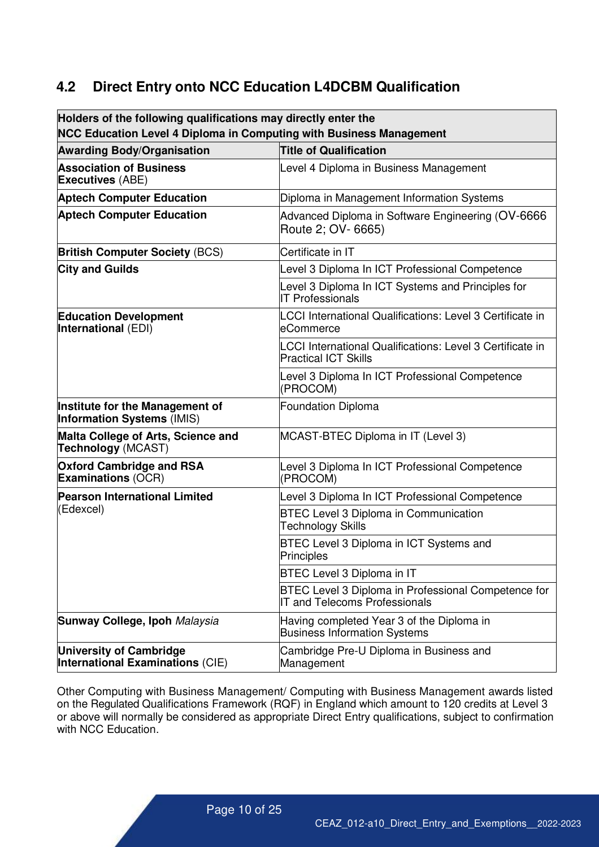#### <span id="page-9-0"></span>**4.2 Direct Entry onto NCC Education L4DCBM Qualification**

| Holders of the following qualifications may directly enter the<br>NCC Education Level 4 Diploma in Computing with Business Management |                                                                                                    |  |  |
|---------------------------------------------------------------------------------------------------------------------------------------|----------------------------------------------------------------------------------------------------|--|--|
| <b>Awarding Body/Organisation</b><br><b>Title of Qualification</b>                                                                    |                                                                                                    |  |  |
| <b>Association of Business</b><br><b>Executives (ABE)</b>                                                                             | Level 4 Diploma in Business Management                                                             |  |  |
| <b>Aptech Computer Education</b>                                                                                                      | Diploma in Management Information Systems                                                          |  |  |
| <b>Aptech Computer Education</b>                                                                                                      | Advanced Diploma in Software Engineering (OV-6666<br>Route 2; OV- 6665)                            |  |  |
| <b>British Computer Society (BCS)</b>                                                                                                 | Certificate in IT                                                                                  |  |  |
| <b>City and Guilds</b>                                                                                                                | evel 3 Diploma In ICT Professional Competence                                                      |  |  |
|                                                                                                                                       | evel 3 Diploma In ICT Systems and Principles for<br><b>IT Professionals</b>                        |  |  |
| <b>Education Development</b><br>International (EDI)                                                                                   | LCCI International Qualifications: Level 3 Certificate in<br>eCommerce                             |  |  |
|                                                                                                                                       | LCCI International Qualifications: Level 3 Certificate in<br><b>Practical ICT Skills</b>           |  |  |
|                                                                                                                                       | Level 3 Diploma In ICT Professional Competence<br>(PROCOM)                                         |  |  |
| Institute for the Management of<br><b>Information Systems (IMIS)</b>                                                                  | <b>Foundation Diploma</b>                                                                          |  |  |
| Malta College of Arts, Science and<br>Technology (MCAST)                                                                              | MCAST-BTEC Diploma in IT (Level 3)                                                                 |  |  |
| <b>Oxford Cambridge and RSA</b><br><b>Examinations (OCR)</b>                                                                          | Level 3 Diploma In ICT Professional Competence<br>(PROCOM)                                         |  |  |
| <b>Pearson International Limited</b>                                                                                                  | Level 3 Diploma In ICT Professional Competence                                                     |  |  |
| (Edexcel)                                                                                                                             | <b>BTEC Level 3 Diploma in Communication</b><br>Technology Skills                                  |  |  |
|                                                                                                                                       | BTEC Level 3 Diploma in ICT Systems and<br>Principles                                              |  |  |
|                                                                                                                                       | <b>BTEC Level 3 Diploma in IT</b>                                                                  |  |  |
|                                                                                                                                       | <b>BTEC Level 3 Diploma in Professional Competence for</b><br><b>IT and Telecoms Professionals</b> |  |  |
| Sunway College, Ipoh Malaysia                                                                                                         | Having completed Year 3 of the Diploma in<br><b>Business Information Systems</b>                   |  |  |
| <b>University of Cambridge</b><br>International Examinations (CIE)                                                                    | Cambridge Pre-U Diploma in Business and<br>Management                                              |  |  |
|                                                                                                                                       |                                                                                                    |  |  |

Other Computing with Business Management/ Computing with Business Management awards listed on the Regulated Qualifications Framework (RQF) in England which amount to 120 credits at Level 3 or above will normally be considered as appropriate Direct Entry qualifications, subject to confirmation with NCC Education.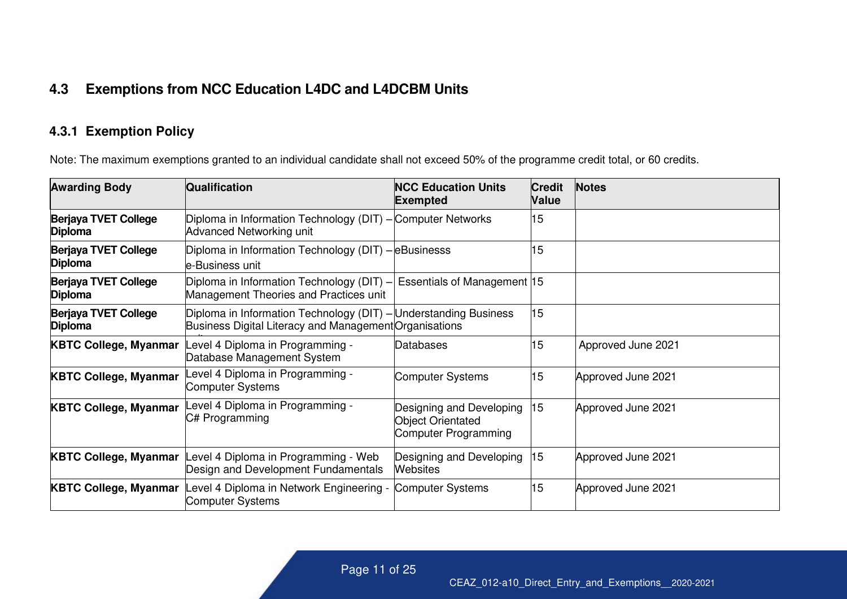# **4.3 Exemptions from NCC Education L4DC and L4DCBM Units**

#### **4.3.1 Exemption Policy**

Note: The maximum exemptions granted to an individual candidate shall not exceed 50% of the programme credit total, or 60 credits.

<span id="page-10-1"></span><span id="page-10-0"></span>

| <b>Awarding Body</b>                          | Qualification                                                                                                              | <b>NCC Education Units</b><br><b>Exempted</b>                                | <b>Credit</b><br><b>Value</b> | <b>Notes</b>       |
|-----------------------------------------------|----------------------------------------------------------------------------------------------------------------------------|------------------------------------------------------------------------------|-------------------------------|--------------------|
| <b>Berjaya TVET College</b><br><b>Diploma</b> | Diploma in Information Technology (DIT) - Computer Networks<br>Advanced Networking unit                                    |                                                                              | 15                            |                    |
| <b>Berjaya TVET College</b><br>Diploma        | Diploma in Information Technology (DIT) - eBusinesss<br>le-Business unit                                                   |                                                                              | 15                            |                    |
| <b>Berjaya TVET College</b><br><b>Diploma</b> | Diploma in Information Technology (DIT) -<br>Management Theories and Practices unit                                        | Essentials of Management 15                                                  |                               |                    |
| <b>Berjaya TVET College</b><br><b>Diploma</b> | Diploma in Information Technology (DIT) - Understanding Business<br>Business Digital Literacy and Management Organisations |                                                                              | 15                            |                    |
| <b>KBTC College, Myanmar</b>                  | evel 4 Diploma in Programming -<br>Database Management System                                                              | Databases                                                                    | 15                            | Approved June 2021 |
| <b>KBTC College, Myanmar</b>                  | evel 4 Diploma in Programming -<br><b>Computer Systems</b>                                                                 | <b>Computer Systems</b>                                                      | 15                            | Approved June 2021 |
| <b>KBTC College, Myanmar</b>                  | evel 4 Diploma in Programming -<br>C# Programming                                                                          | Designing and Developing<br><b>Object Orientated</b><br>Computer Programming | 15                            | Approved June 2021 |
| <b>KBTC College, Myanmar</b>                  | Level 4 Diploma in Programming - Web<br>Design and Development Fundamentals                                                | Designing and Developing<br><b>Websites</b>                                  | 15                            | Approved June 2021 |
|                                               | <b>KBTC College, Myanmar</b> Level 4 Diploma in Network Engineering -<br><b>Computer Systems</b>                           | Computer Systems                                                             | 15                            | Approved June 2021 |

Page 11 of 42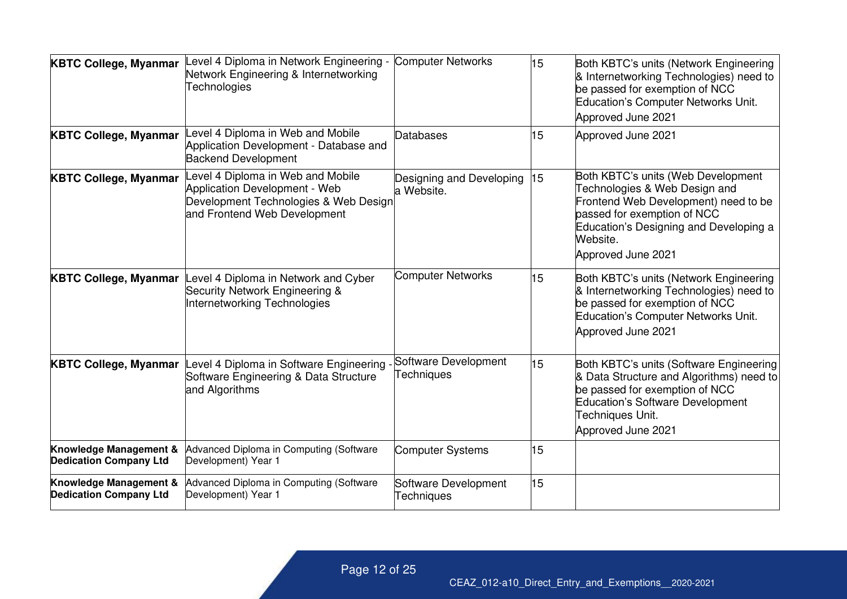| <b>KBTC College, Myanmar</b>                            | -evel 4 Diploma in Network Engineering -<br>Network Engineering & Internetworking<br><b>Technologies</b>                                          | <b>Computer Networks</b>                  | 15 | Both KBTC's units (Network Engineering<br>& Internetworking Technologies) need to<br>be passed for exemption of NCC<br>Education's Computer Networks Unit.<br>Approved June 2021                                       |
|---------------------------------------------------------|---------------------------------------------------------------------------------------------------------------------------------------------------|-------------------------------------------|----|------------------------------------------------------------------------------------------------------------------------------------------------------------------------------------------------------------------------|
| <b>KBTC College, Myanmar</b>                            | evel 4 Diploma in Web and Mobile<br>Application Development - Database and<br><b>Backend Development</b>                                          | Databases                                 | 15 | Approved June 2021                                                                                                                                                                                                     |
| <b>KBTC College, Myanmar</b>                            | evel 4 Diploma in Web and Mobile<br><b>Application Development - Web</b><br>Development Technologies & Web Design<br>and Frontend Web Development | Designing and Developing<br>a Website.    | 15 | Both KBTC's units (Web Development<br>Technologies & Web Design and<br>Frontend Web Development) need to be<br>passed for exemption of NCC<br>Education's Designing and Developing a<br>Website.<br>Approved June 2021 |
| <b>KBTC College, Myanmar</b>                            | Level 4 Diploma in Network and Cyber<br>Security Network Engineering &<br>Internetworking Technologies                                            | <b>Computer Networks</b>                  | 15 | Both KBTC's units (Network Engineering<br>& Internetworking Technologies) need to<br>be passed for exemption of NCC<br>Education's Computer Networks Unit.<br>Approved June 2021                                       |
| <b>KBTC College, Myanmar</b>                            | Level 4 Diploma in Software Engineering<br>Software Engineering & Data Structure<br>and Algorithms                                                | Software Development<br><b>Techniques</b> | 15 | Both KBTC's units (Software Engineering<br>& Data Structure and Algorithms) need to<br>be passed for exemption of NCC<br><b>Education's Software Development</b><br>Techniques Unit.<br>Approved June 2021             |
| Knowledge Management &<br><b>Dedication Company Ltd</b> | Advanced Diploma in Computing (Software<br>Development) Year 1                                                                                    | <b>Computer Systems</b>                   | 15 |                                                                                                                                                                                                                        |
| Knowledge Management &<br><b>Dedication Company Ltd</b> | Advanced Diploma in Computing (Software<br>Development) Year 1                                                                                    | Software Development<br><b>Techniques</b> | 15 |                                                                                                                                                                                                                        |

Page 12 of 42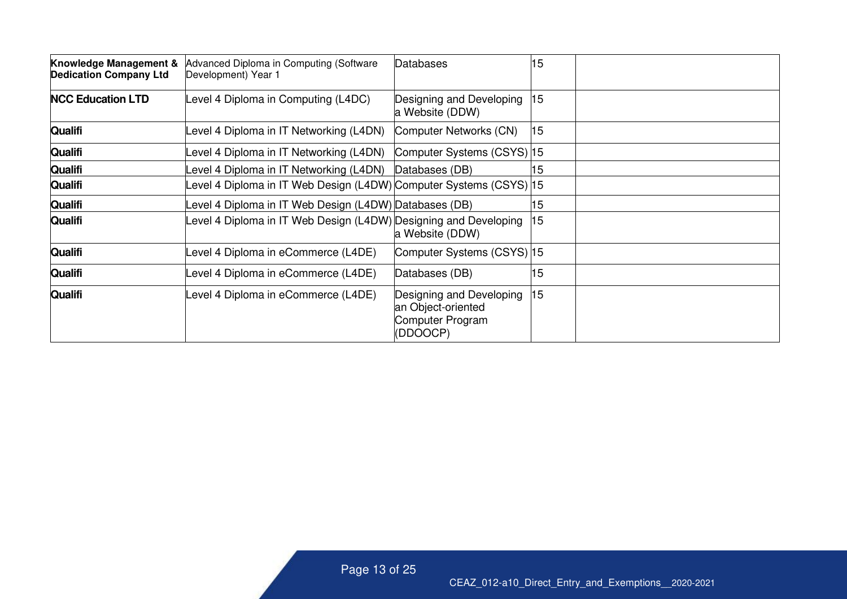| Knowledge Management &<br><b>Dedication Company Ltd</b> | Advanced Diploma in Computing (Software<br>Development) Year 1      | Databases                                                                      | 15              |  |
|---------------------------------------------------------|---------------------------------------------------------------------|--------------------------------------------------------------------------------|-----------------|--|
| <b>NCC Education LTD</b>                                | evel 4 Diploma in Computing (L4DC)                                  | Designing and Developing<br>a Website (DDW)                                    | 15              |  |
| <b>Qualifi</b>                                          | Level 4 Diploma in IT Networking (L4DN)                             | Computer Networks (CN)                                                         | 15              |  |
| <b>Qualifi</b>                                          | evel 4 Diploma in IT Networking (L4DN)                              | Computer Systems (CSYS)  15                                                    |                 |  |
| <b>Qualifi</b>                                          | evel 4 Diploma in IT Networking (L4DN).                             | Databases (DB)                                                                 | 15              |  |
| <b>Qualifi</b>                                          | Level 4 Diploma in IT Web Design (L4DW) Computer Systems (CSYS)  15 |                                                                                |                 |  |
| <b>Qualifi</b>                                          | evel 4 Diploma in IT Web Design (L4DW) Databases (DB)               |                                                                                | 15              |  |
| <b>Qualifi</b>                                          | Level 4 Diploma in IT Web Design (L4DW) Designing and Developing    | a Website (DDW)                                                                | 15              |  |
| <b>Qualifi</b>                                          | Level 4 Diploma in eCommerce (L4DE)                                 | Computer Systems (CSYS)  15                                                    |                 |  |
| <b>Qualifi</b>                                          | Level 4 Diploma in eCommerce (L4DE)                                 | Databases (DB)                                                                 | 15 <sub>1</sub> |  |
| <b>Qualifi</b>                                          | Level 4 Diploma in eCommerce (L4DE)                                 | Designing and Developing<br>an Object-oriented<br>Computer Program<br>(DDOOCP) | 15              |  |

Page 13 of 42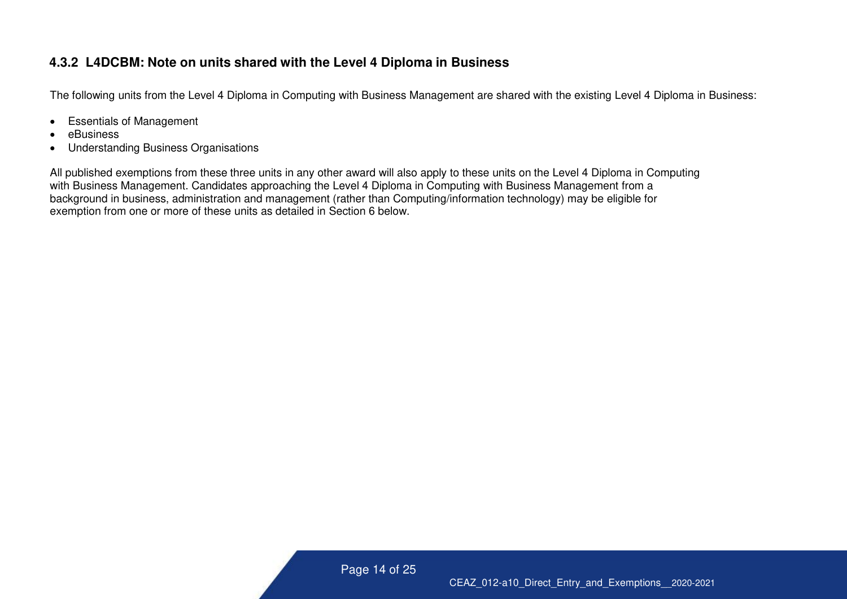#### **4.3.2 L4DCBM: Note on units shared with the Level 4 Diploma in Business**

The following units from the Level 4 Diploma in Computing with Business Management are shared with the existing Level 4 Diploma in Business:

- Essentials of Management
- eBusiness
- Understanding Business Organisations

<span id="page-13-0"></span>All published exemptions from these three units in any other award will also apply to these units on the Level 4 Diploma in Computing with Business Management. Candidates approaching the Level 4 Diploma in Computing with Business Management from a background in business, administration and management (rather than Computing/information technology) may be eligible for exemption from one or more of these units as detailed in Section 6 below.

Page 14 of 42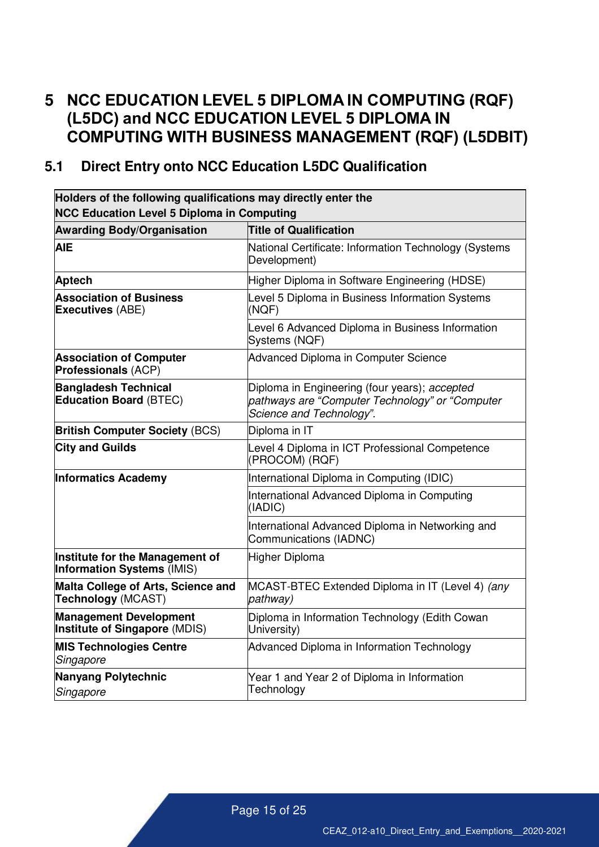## <span id="page-14-0"></span>**5 NCC EDUCATION LEVEL 5 DIPLOMA IN COMPUTING (RQF) (L5DC) and NCC EDUCATION LEVEL 5 DIPLOMA IN COMPUTING WITH BUSINESS MANAGEMENT (RQF) (L5DBIT)**

#### <span id="page-14-1"></span>**5.1 Direct Entry onto NCC Education L5DC Qualification**

| Holders of the following qualifications may directly enter the<br><b>NCC Education Level 5 Diploma in Computing</b> |                                                                                                                              |  |  |  |
|---------------------------------------------------------------------------------------------------------------------|------------------------------------------------------------------------------------------------------------------------------|--|--|--|
| <b>Awarding Body/Organisation</b>                                                                                   | <b>Title of Qualification</b>                                                                                                |  |  |  |
| <b>AIE</b>                                                                                                          | National Certificate: Information Technology (Systems<br>Development)                                                        |  |  |  |
| <b>Aptech</b>                                                                                                       | Higher Diploma in Software Engineering (HDSE)                                                                                |  |  |  |
| <b>Association of Business</b><br><b>Executives (ABE)</b>                                                           | Level 5 Diploma in Business Information Systems<br>(NQF)                                                                     |  |  |  |
|                                                                                                                     | Level 6 Advanced Diploma in Business Information<br>Systems (NQF)                                                            |  |  |  |
| <b>Association of Computer</b><br><b>Professionals (ACP)</b>                                                        | Advanced Diploma in Computer Science                                                                                         |  |  |  |
| <b>Bangladesh Technical</b><br><b>Education Board (BTEC)</b>                                                        | Diploma in Engineering (four years); accepted<br>pathways are "Computer Technology" or "Computer<br>Science and Technology". |  |  |  |
| <b>British Computer Society (BCS)</b>                                                                               | Diploma in IT                                                                                                                |  |  |  |
| <b>City and Guilds</b>                                                                                              | Level 4 Diploma in ICT Professional Competence<br>(PROCOM) (RQF)                                                             |  |  |  |
| <b>Informatics Academy</b>                                                                                          | International Diploma in Computing (IDIC)                                                                                    |  |  |  |
|                                                                                                                     | International Advanced Diploma in Computing<br>(IADIC)                                                                       |  |  |  |
|                                                                                                                     | International Advanced Diploma in Networking and<br>Communications (IADNC)                                                   |  |  |  |
| Institute for the Management of<br><b>Information Systems (IMIS)</b>                                                | Higher Diploma                                                                                                               |  |  |  |
| Malta College of Arts, Science and<br>Technology (MCAST)                                                            | MCAST-BTEC Extended Diploma in IT (Level 4) (any<br>pathway)                                                                 |  |  |  |
| <b>Management Development</b><br>Institute of Singapore (MDIS)                                                      | Diploma in Information Technology (Edith Cowan<br>University)                                                                |  |  |  |
| <b>MIS Technologies Centre</b><br>Singapore                                                                         | Advanced Diploma in Information Technology                                                                                   |  |  |  |
| <b>Nanyang Polytechnic</b><br>Singapore                                                                             | Year 1 and Year 2 of Diploma in Information<br>Technology                                                                    |  |  |  |

Page 15 of 25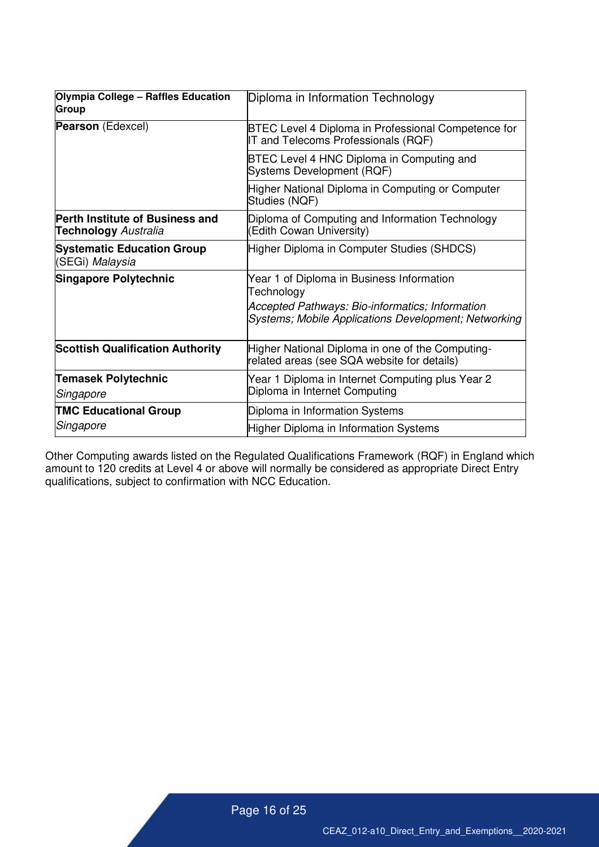| Olympia College - Raffles Education<br>Group                          | Diploma in Information Technology                                                                       |
|-----------------------------------------------------------------------|---------------------------------------------------------------------------------------------------------|
| Pearson (Edexcel)                                                     | BTEC Level 4 Diploma in Professional Competence for<br>IT and Telecoms Professionals (RQF)              |
|                                                                       | BTEC Level 4 HNC Diploma in Computing and<br>Systems Development (RQF)                                  |
|                                                                       | Higher National Diploma in Computing or Computer<br>Studies (NQF)                                       |
| <b>Perth Institute of Business and</b><br><b>Technology</b> Australia | Diploma of Computing and Information Technology<br>(Edith Cowan University)                             |
| <b>Systematic Education Group</b><br>(SEGi) <i>Malaysia</i>           | Higher Diploma in Computer Studies (SHDCS)                                                              |
| <b>Singapore Polytechnic</b>                                          | Year 1 of Diploma in Business Information<br>Technology                                                 |
|                                                                       | Accepted Pathways: Bio-informatics; Information<br>Systems; Mobile Applications Development; Networking |
| <b>Scottish Qualification Authority</b>                               | Higher National Diploma in one of the Computing-<br>related areas (see SQA website for details)         |
| <b>Temasek Polytechnic</b><br>Singapore                               | Year 1 Diploma in Internet Computing plus Year 2<br>Diploma in Internet Computing                       |
| <b>TMC Educational Group</b>                                          | Diploma in Information Systems                                                                          |
| Singapore                                                             | Higher Diploma in Information Systems                                                                   |

Other Computing awards listed on the Regulated Qualifications Framework (RQF) in England which amount to 120 credits at Level 4 or above will normally be considered as appropriate Direct Entry qualifications, subject to confirmation with NCC Education.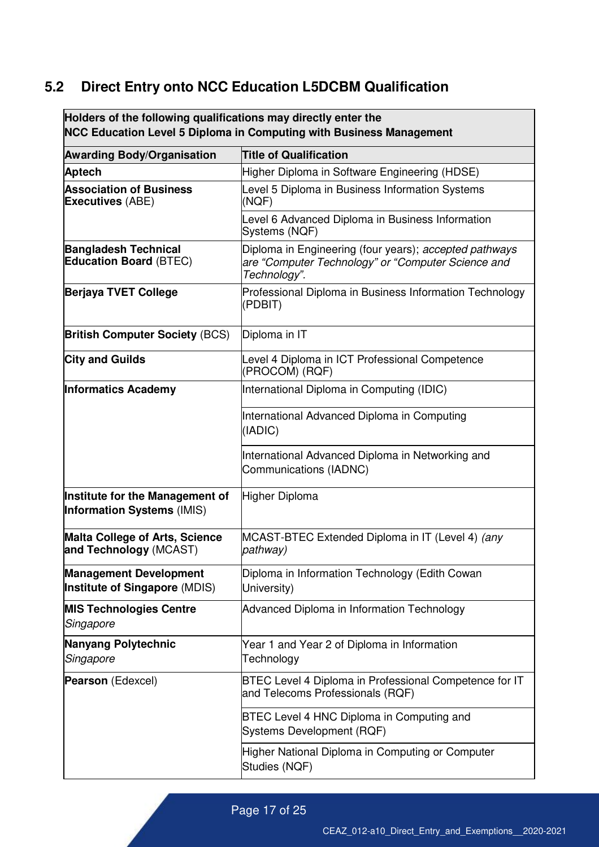# <span id="page-16-0"></span>**5.2 Direct Entry onto NCC Education L5DCBM Qualification**

| Holders of the following qualifications may directly enter the<br><b>NCC Education Level 5 Diploma in Computing with Business Management</b> |                                                                                                                              |  |  |  |
|----------------------------------------------------------------------------------------------------------------------------------------------|------------------------------------------------------------------------------------------------------------------------------|--|--|--|
| <b>Awarding Body/Organisation</b>                                                                                                            | <b>Title of Qualification</b>                                                                                                |  |  |  |
| <b>Aptech</b>                                                                                                                                | Higher Diploma in Software Engineering (HDSE)                                                                                |  |  |  |
| <b>Association of Business</b><br><b>Executives (ABE)</b>                                                                                    | Level 5 Diploma in Business Information Systems<br>(NQF)                                                                     |  |  |  |
|                                                                                                                                              | Level 6 Advanced Diploma in Business Information<br>Systems (NQF)                                                            |  |  |  |
| <b>Bangladesh Technical</b><br><b>Education Board (BTEC)</b>                                                                                 | Diploma in Engineering (four years); accepted pathways<br>are "Computer Technology" or "Computer Science and<br>Technology". |  |  |  |
| <b>Berjaya TVET College</b>                                                                                                                  | Professional Diploma in Business Information Technology<br>(PDBIT)                                                           |  |  |  |
| <b>British Computer Society (BCS)</b>                                                                                                        | Diploma in IT                                                                                                                |  |  |  |
| <b>City and Guilds</b>                                                                                                                       | Level 4 Diploma in ICT Professional Competence<br>(PROCOM) (RQF)                                                             |  |  |  |
| <b>Informatics Academy</b>                                                                                                                   | International Diploma in Computing (IDIC)                                                                                    |  |  |  |
|                                                                                                                                              | International Advanced Diploma in Computing<br>(IADIC)                                                                       |  |  |  |
|                                                                                                                                              | International Advanced Diploma in Networking and<br>Communications (IADNC)                                                   |  |  |  |
| Institute for the Management of<br><b>Information Systems (IMIS)</b>                                                                         | Higher Diploma                                                                                                               |  |  |  |
| <b>Malta College of Arts, Science</b><br>and Technology (MCAST)                                                                              | MCAST-BTEC Extended Diploma in IT (Level 4) (any<br>pathway)                                                                 |  |  |  |
| <b>Management Development</b><br>Institute of Singapore (MDIS)                                                                               | Diploma in Information Technology (Edith Cowan<br>University)                                                                |  |  |  |
| <b>MIS Technologies Centre</b><br>Singapore                                                                                                  | Advanced Diploma in Information Technology                                                                                   |  |  |  |
| Nanyang Polytechnic<br>Singapore                                                                                                             | Year 1 and Year 2 of Diploma in Information<br>Technology                                                                    |  |  |  |
| Pearson (Edexcel)                                                                                                                            | BTEC Level 4 Diploma in Professional Competence for IT<br>and Telecoms Professionals (RQF)                                   |  |  |  |
|                                                                                                                                              | BTEC Level 4 HNC Diploma in Computing and<br>Systems Development (RQF)                                                       |  |  |  |
|                                                                                                                                              | Higher National Diploma in Computing or Computer<br>Studies (NQF)                                                            |  |  |  |

Page 17 of 25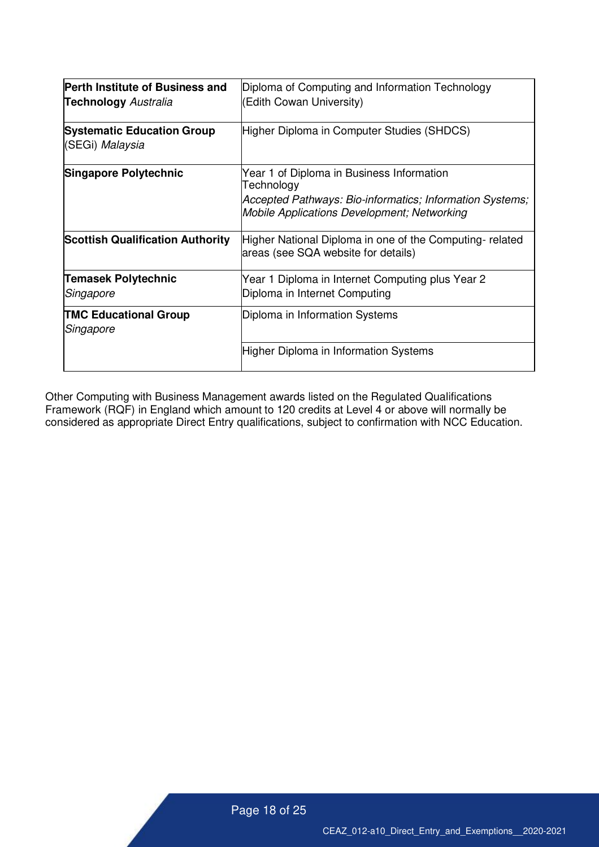| <b>Perth Institute of Business and</b><br><b>Technology</b> Australia | Diploma of Computing and Information Technology<br>(Edith Cowan University)                                                                                        |
|-----------------------------------------------------------------------|--------------------------------------------------------------------------------------------------------------------------------------------------------------------|
| <b>Systematic Education Group</b><br>(SEGi) Malaysia                  | Higher Diploma in Computer Studies (SHDCS)                                                                                                                         |
| Singapore Polytechnic                                                 | Year 1 of Diploma in Business Information<br>Technology<br>Accepted Pathways: Bio-informatics; Information Systems;<br>Mobile Applications Development; Networking |
| <b>Scottish Qualification Authority</b>                               | Higher National Diploma in one of the Computing-related<br>areas (see SQA website for details)                                                                     |
| <b>Temasek Polytechnic</b><br>Singapore                               | Year 1 Diploma in Internet Computing plus Year 2<br>Diploma in Internet Computing                                                                                  |
| <b>TMC Educational Group</b><br>Singapore                             | Diploma in Information Systems                                                                                                                                     |
|                                                                       | Higher Diploma in Information Systems                                                                                                                              |

Other Computing with Business Management awards listed on the Regulated Qualifications Framework (RQF) in England which amount to 120 credits at Level 4 or above will normally be considered as appropriate Direct Entry qualifications, subject to confirmation with NCC Education.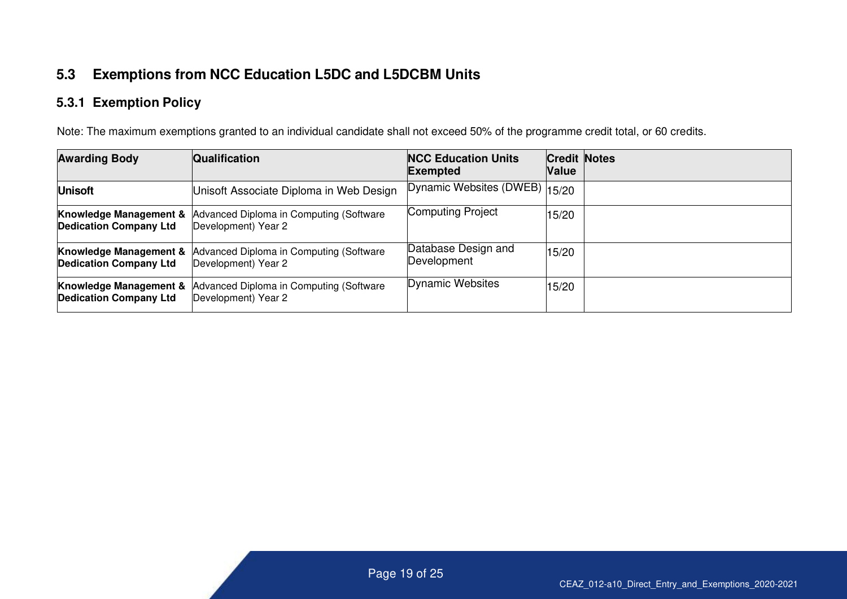#### **5.3 Exemptions from NCC Education L5DC and L5DCBM Units**

#### **5.3.1 Exemption Policy**

Note: The maximum exemptions granted to an individual candidate shall not exceed 50% of the programme credit total, or 60 credits.

<span id="page-18-1"></span><span id="page-18-0"></span>

| <b>Awarding Body</b>                                               | <b>Qualification</b>                                                                             | <b>NCC Education Units</b><br><b>Exempted</b> | <b>Credit Notes</b><br>Value |  |
|--------------------------------------------------------------------|--------------------------------------------------------------------------------------------------|-----------------------------------------------|------------------------------|--|
| <b>Unisoft</b>                                                     | Unisoft Associate Diploma in Web Design                                                          | Dynamic Websites (DWEB)  15/20                |                              |  |
| <b>Dedication Company Ltd</b>                                      | <b>Knowledge Management &amp; Advanced Diploma in Computing (Software</b><br>Development) Year 2 | Computing Project                             | 15/20                        |  |
| <b>Knowledge Management &amp;</b><br><b>Dedication Company Ltd</b> | Advanced Diploma in Computing (Software<br>Development) Year 2                                   | Database Design and<br>Development            | 15/20                        |  |
| <b>Knowledge Management &amp;</b><br><b>Dedication Company Ltd</b> | Advanced Diploma in Computing (Software<br>Development) Year 2                                   | Dynamic Websites                              | 15/20                        |  |

Page 19 of 25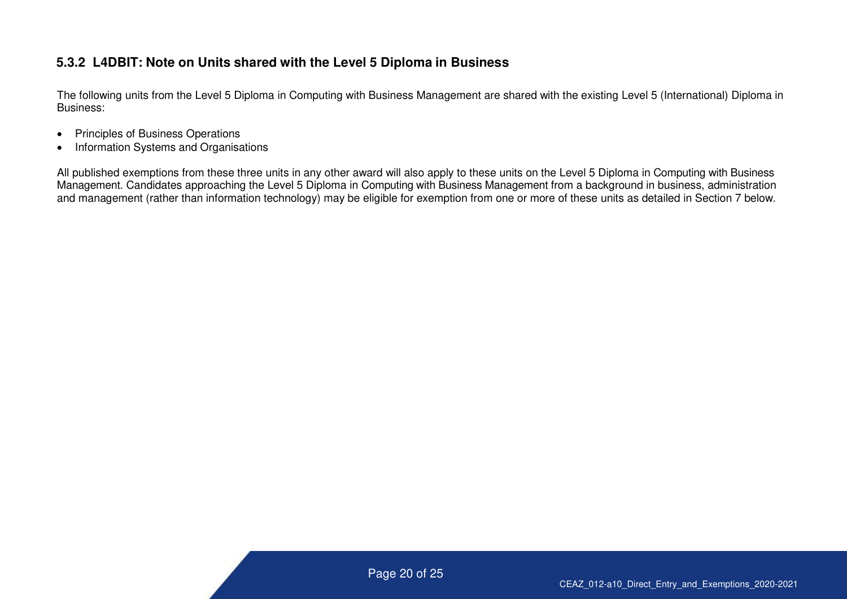#### **5.3.2 L4DBIT: Note on Units shared with the Level 5 Diploma in Business**

The following units from the Level 5 Diploma in Computing with Business Management are shared with the existing Level 5 (International) Diploma in Business:

- Principles of Business Operations
- Information Systems and Organisations

<span id="page-19-0"></span>All published exemptions from these three units in any other award will also apply to these units on the Level 5 Diploma in Computing with Business Management. Candidates approaching the Level 5 Diploma in Computing with Business Management from a background in business, administration and management (rather than information technology) may be eligible for exemption from one or more of these units as detailed in Section 7 below.

Page 20 of 25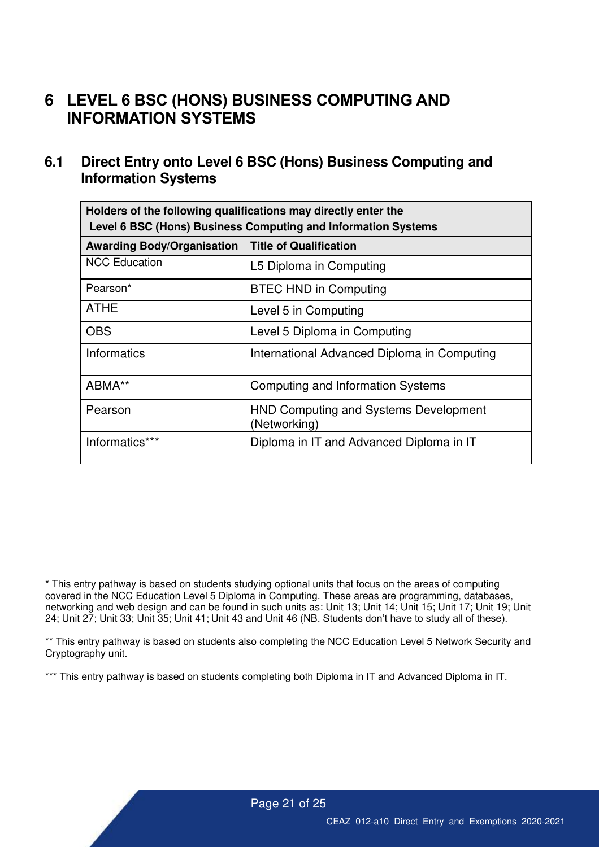# <span id="page-20-0"></span>**6 LEVEL 6 BSC (HONS) BUSINESS COMPUTING AND INFORMATION SYSTEMS**

#### <span id="page-20-1"></span>**6.1 Direct Entry onto Level 6 BSC (Hons) Business Computing and Information Systems**

| Holders of the following qualifications may directly enter the<br>Level 6 BSC (Hons) Business Computing and Information Systems |                                                       |  |  |  |
|---------------------------------------------------------------------------------------------------------------------------------|-------------------------------------------------------|--|--|--|
| <b>Title of Qualification</b><br><b>Awarding Body/Organisation</b>                                                              |                                                       |  |  |  |
| <b>NCC Education</b>                                                                                                            | L5 Diploma in Computing                               |  |  |  |
| Pearson*                                                                                                                        | <b>BTEC HND in Computing</b>                          |  |  |  |
| <b>ATHE</b>                                                                                                                     | Level 5 in Computing                                  |  |  |  |
| <b>OBS</b>                                                                                                                      | Level 5 Diploma in Computing                          |  |  |  |
| Informatics                                                                                                                     | International Advanced Diploma in Computing           |  |  |  |
| ABMA**                                                                                                                          | Computing and Information Systems                     |  |  |  |
| Pearson                                                                                                                         | HND Computing and Systems Development<br>(Networking) |  |  |  |
| Informatics***                                                                                                                  | Diploma in IT and Advanced Diploma in IT              |  |  |  |

\* This entry pathway is based on students studying optional units that focus on the areas of computing covered in the NCC Education Level 5 Diploma in Computing. These areas are programming, databases, networking and web design and can be found in such units as: Unit 13; Unit 14; Unit 15; Unit 17; Unit 19; Unit 24; Unit 27; Unit 33; Unit 35; Unit 41; Unit 43 and Unit 46 (NB. Students don't have to study all of these).

\*\* This entry pathway is based on students also completing the NCC Education Level 5 Network Security and Cryptography unit.

\*\*\* This entry pathway is based on students completing both Diploma in IT and Advanced Diploma in IT.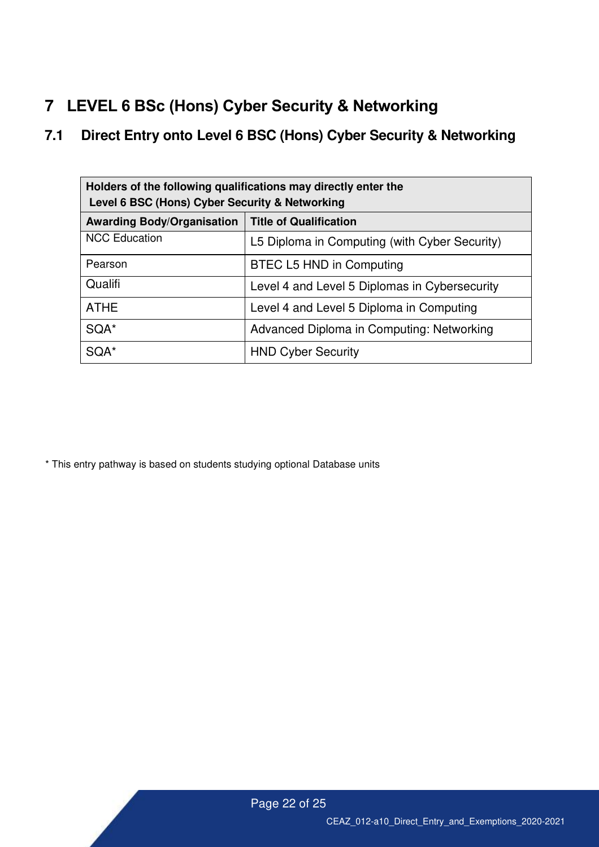# <span id="page-21-0"></span>**7 LEVEL 6 BSc (Hons) Cyber Security & Networking**

# **7.1 Direct Entry onto Level 6 BSC (Hons) Cyber Security & Networking**

| Holders of the following qualifications may directly enter the<br>Level 6 BSC (Hons) Cyber Security & Networking |                                               |  |  |  |
|------------------------------------------------------------------------------------------------------------------|-----------------------------------------------|--|--|--|
| <b>Title of Qualification</b><br><b>Awarding Body/Organisation</b>                                               |                                               |  |  |  |
| <b>NCC Education</b>                                                                                             | L5 Diploma in Computing (with Cyber Security) |  |  |  |
| Pearson                                                                                                          | BTEC L5 HND in Computing                      |  |  |  |
| Qualifi<br>Level 4 and Level 5 Diplomas in Cybersecurity                                                         |                                               |  |  |  |
| <b>ATHE</b>                                                                                                      | Level 4 and Level 5 Diploma in Computing      |  |  |  |
| SQA*                                                                                                             | Advanced Diploma in Computing: Networking     |  |  |  |
| SQA*                                                                                                             | <b>HND Cyber Security</b>                     |  |  |  |

\* This entry pathway is based on students studying optional Database units

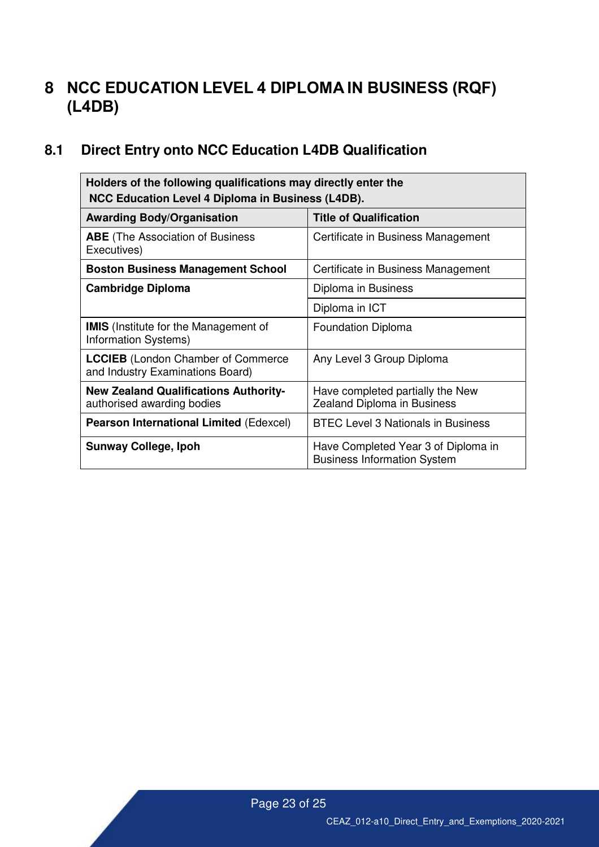# **8 NCC EDUCATION LEVEL 4 DIPLOMA IN BUSINESS (RQF) (L4DB)**

# <span id="page-22-0"></span>**8.1 Direct Entry onto NCC Education L4DB Qualification**

| Holders of the following qualifications may directly enter the<br>NCC Education Level 4 Diploma in Business (L4DB). |                                                                           |  |  |  |
|---------------------------------------------------------------------------------------------------------------------|---------------------------------------------------------------------------|--|--|--|
| <b>Title of Qualification</b><br><b>Awarding Body/Organisation</b>                                                  |                                                                           |  |  |  |
| <b>ABE</b> (The Association of Business<br>Executives)                                                              | Certificate in Business Management                                        |  |  |  |
| <b>Boston Business Management School</b>                                                                            | Certificate in Business Management                                        |  |  |  |
| <b>Cambridge Diploma</b>                                                                                            | Diploma in Business                                                       |  |  |  |
|                                                                                                                     | Diploma in ICT                                                            |  |  |  |
| <b>IMIS</b> (Institute for the Management of<br>Information Systems)                                                | <b>Foundation Diploma</b>                                                 |  |  |  |
| <b>LCCIEB</b> (London Chamber of Commerce<br>and Industry Examinations Board)                                       | Any Level 3 Group Diploma                                                 |  |  |  |
| <b>New Zealand Qualifications Authority-</b><br>authorised awarding bodies                                          | Have completed partially the New<br>Zealand Diploma in Business           |  |  |  |
| <b>Pearson International Limited (Edexcel)</b>                                                                      | <b>BTEC Level 3 Nationals in Business</b>                                 |  |  |  |
| <b>Sunway College, Ipoh</b>                                                                                         | Have Completed Year 3 of Diploma in<br><b>Business Information System</b> |  |  |  |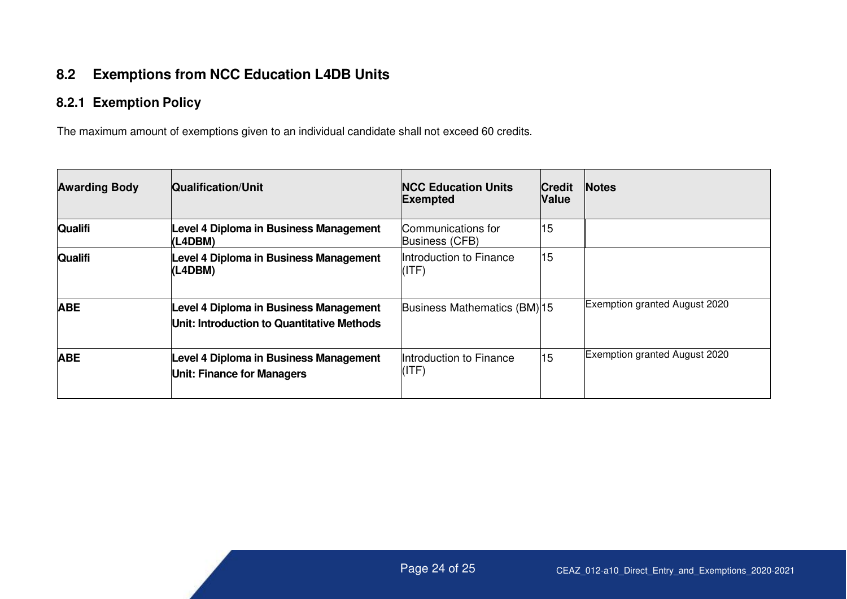#### **8.2 Exemptions from NCC Education L4DB Units**

#### **8.2.1 Exemption Policy**

The maximum amount of exemptions given to an individual candidate shall not exceed 60 credits.

<span id="page-23-1"></span><span id="page-23-0"></span>

| <b>Awarding Body</b> | <b>Qualification/Unit</b>                                                            | <b>NCC Education Units</b><br>Exempted | <b>Credit</b><br><b>Value</b> | <b>Notes</b>                  |
|----------------------|--------------------------------------------------------------------------------------|----------------------------------------|-------------------------------|-------------------------------|
| <b>Qualifi</b>       | Level 4 Diploma in Business Management<br>(L4DBM)                                    | Communications for<br>Business (CFB)   | 15                            |                               |
| <b>Qualifi</b>       | Level 4 Diploma in Business Management<br>(L4DBM)                                    | Introduction to Finance<br>(ITF)       | 15                            |                               |
| <b>ABE</b>           | Level 4 Diploma in Business Management<br>Unit: Introduction to Quantitative Methods | Business Mathematics (BM) 15           |                               | Exemption granted August 2020 |
| <b>ABE</b>           | Level 4 Diploma in Business Management<br>Unit: Finance for Managers                 | Introduction to Finance<br>(ITF)       | 15                            | Exemption granted August 2020 |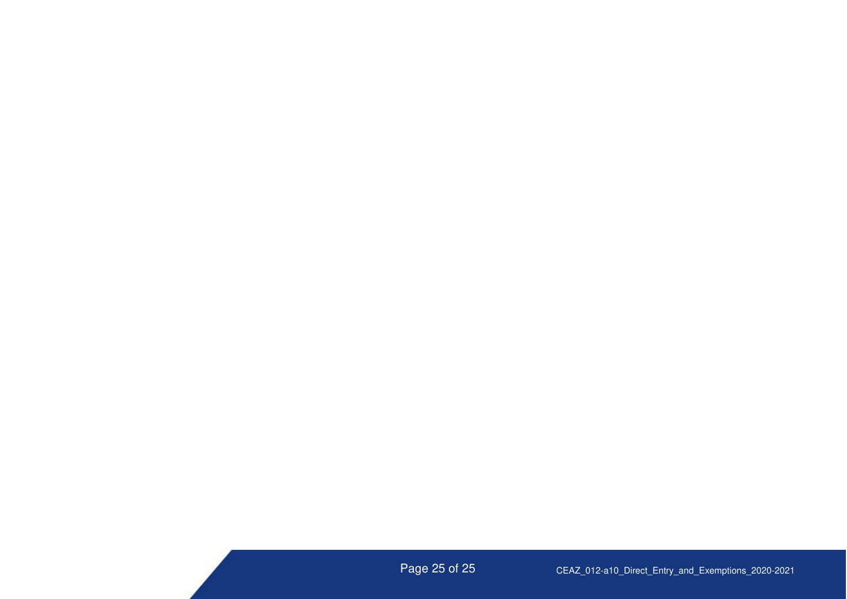Page 25 of 25 CEAZ\_012-a10\_Direct\_Entry\_and\_Exemptions\_2020-2021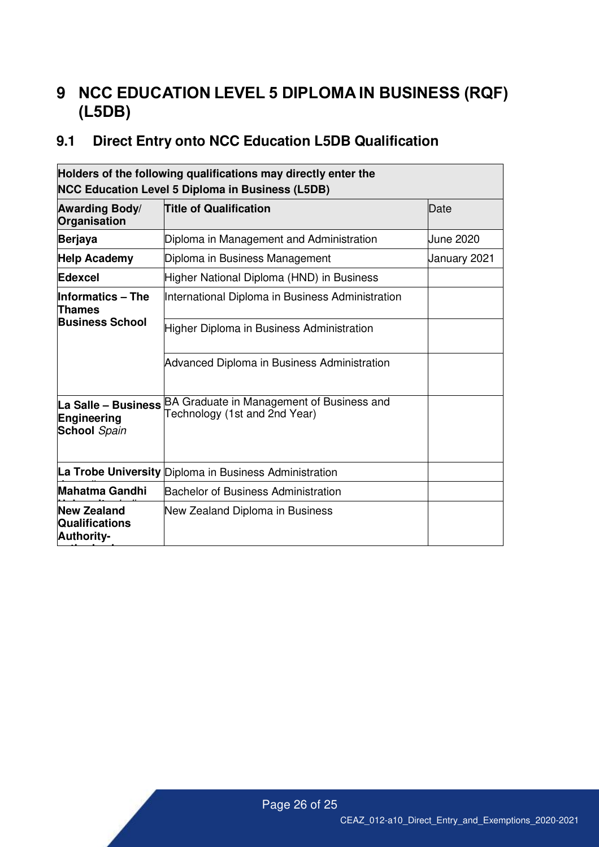# <span id="page-25-0"></span>**9 NCC EDUCATION LEVEL 5 DIPLOMA IN BUSINESS (RQF) (L5DB)**

# <span id="page-25-1"></span>**9.1 Direct Entry onto NCC Education L5DB Qualification**

| Holders of the following qualifications may directly enter the<br><b>NCC Education Level 5 Diploma in Business (L5DB)</b> |                                                                            |              |  |  |
|---------------------------------------------------------------------------------------------------------------------------|----------------------------------------------------------------------------|--------------|--|--|
| <b>Awarding Body/</b><br>Organisation                                                                                     | <b>Title of Qualification</b>                                              | Date         |  |  |
| <b>Berjaya</b>                                                                                                            | Diploma in Management and Administration                                   | June 2020    |  |  |
| <b>Help Academy</b>                                                                                                       | Diploma in Business Management                                             | January 2021 |  |  |
| Edexcel                                                                                                                   | Higher National Diploma (HND) in Business                                  |              |  |  |
| <b>Informatics – The</b><br><b>Thames</b>                                                                                 | International Diploma in Business Administration                           |              |  |  |
| <b>Business School</b>                                                                                                    | Higher Diploma in Business Administration                                  |              |  |  |
|                                                                                                                           | <b>Advanced Diploma in Business Administration</b>                         |              |  |  |
| La Salle - Business<br>Engineering<br><b>School</b> Spain                                                                 | BA Graduate in Management of Business and<br>Technology (1st and 2nd Year) |              |  |  |
|                                                                                                                           | La Trobe University Diploma in Business Administration                     |              |  |  |
| <b>Mahatma Gandhi</b>                                                                                                     | Bachelor of Business Administration                                        |              |  |  |
| <b>New Zealand</b><br><b>Qualifications</b><br><b>Authority-</b>                                                          | New Zealand Diploma in Business                                            |              |  |  |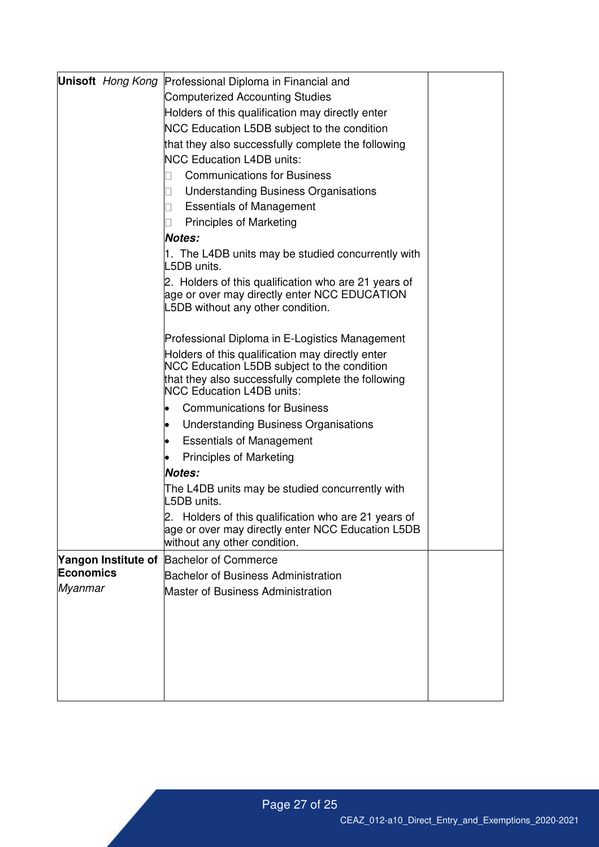|                |                     | <b>Unisoft</b> Hong Kong Professional Diploma in Financial and                                                                                                                            |  |
|----------------|---------------------|-------------------------------------------------------------------------------------------------------------------------------------------------------------------------------------------|--|
|                |                     | <b>Computerized Accounting Studies</b>                                                                                                                                                    |  |
|                |                     | Holders of this qualification may directly enter                                                                                                                                          |  |
|                |                     | NCC Education L5DB subject to the condition                                                                                                                                               |  |
|                |                     | that they also successfully complete the following                                                                                                                                        |  |
|                |                     | <b>NCC Education L4DB units:</b>                                                                                                                                                          |  |
|                |                     | <b>Communications for Business</b><br>$\mathbf{L}$                                                                                                                                        |  |
|                |                     | <b>Understanding Business Organisations</b><br>$\Box$                                                                                                                                     |  |
|                |                     | <b>Essentials of Management</b><br>$\mathbf{I}$                                                                                                                                           |  |
|                |                     | <b>Principles of Marketing</b>                                                                                                                                                            |  |
|                |                     | Notes:                                                                                                                                                                                    |  |
|                |                     | 1. The L4DB units may be studied concurrently with<br>L5DB units.                                                                                                                         |  |
|                |                     | 2. Holders of this qualification who are 21 years of<br>age or over may directly enter NCC EDUCATION<br>L5DB without any other condition.                                                 |  |
|                |                     | Professional Diploma in E-Logistics Management                                                                                                                                            |  |
|                |                     | Holders of this qualification may directly enter<br>NCC Education L5DB subject to the condition<br>that they also successfully complete the following<br><b>NCC Education L4DB units:</b> |  |
|                |                     | <b>Communications for Business</b><br>$\bullet$                                                                                                                                           |  |
|                |                     | <b>Understanding Business Organisations</b>                                                                                                                                               |  |
|                |                     | <b>Essentials of Management</b><br>$\bullet$                                                                                                                                              |  |
|                |                     | <b>Principles of Marketing</b>                                                                                                                                                            |  |
|                |                     | Notes:                                                                                                                                                                                    |  |
|                |                     | The L4DB units may be studied concurrently with<br>L5DB units.                                                                                                                            |  |
|                |                     | Holders of this qualification who are 21 years of<br>2.<br>age or over may directly enter NCC Education L5DB<br>without any other condition.                                              |  |
|                | Yangon Institute of | <b>Bachelor of Commerce</b>                                                                                                                                                               |  |
| Economics      |                     | <b>Bachelor of Business Administration</b>                                                                                                                                                |  |
| <b>Myanmar</b> |                     | <b>Master of Business Administration</b>                                                                                                                                                  |  |
|                |                     |                                                                                                                                                                                           |  |
|                |                     |                                                                                                                                                                                           |  |
|                |                     |                                                                                                                                                                                           |  |
|                |                     |                                                                                                                                                                                           |  |
|                |                     |                                                                                                                                                                                           |  |
|                |                     |                                                                                                                                                                                           |  |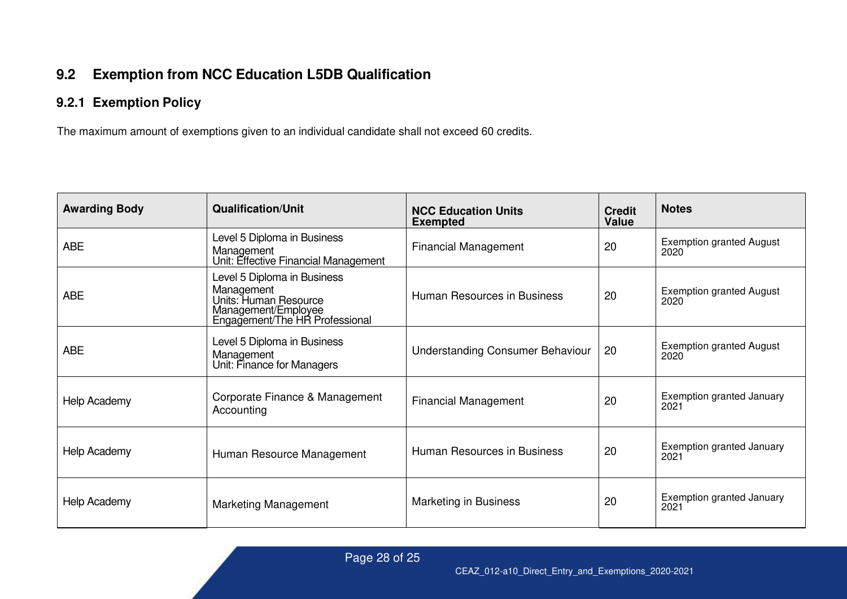#### **9.2 Exemption from NCC Education L5DB Qualification**

#### **9.2.1 Exemption Policy**

The maximum amount of exemptions given to an individual candidate shall not exceed 60 credits.

<span id="page-27-1"></span><span id="page-27-0"></span>

| <b>Awarding Body</b> | <b>Qualification/Unit</b>                                                                                                   | <b>NCC Education Units</b><br><b>Exempted</b> | <b>Credit</b><br><b>Value</b> | <b>Notes</b>                             |
|----------------------|-----------------------------------------------------------------------------------------------------------------------------|-----------------------------------------------|-------------------------------|------------------------------------------|
| <b>ABE</b>           | Level 5 Diploma in Business<br>Management<br>Unit: Effective Financial Management                                           | <b>Financial Management</b>                   | 20                            | <b>Exemption granted August</b><br>2020  |
| <b>ABE</b>           | Level 5 Diploma in Business<br>Management<br>Units: Human Resource<br>Management/Employee<br>Engagement/The HR Professional | Human Resources in Business                   | 20                            | <b>Exemption granted August</b><br>2020  |
| <b>ABE</b>           | Level 5 Diploma in Business<br>Management<br>Unit: Finance for Managers                                                     | <b>Understanding Consumer Behaviour</b>       | 20                            | <b>Exemption granted August</b><br>2020  |
| Help Academy         | Corporate Finance & Management<br>Accounting                                                                                | <b>Financial Management</b>                   | 20                            | <b>Exemption granted January</b><br>2021 |
| Help Academy         | Human Resource Management                                                                                                   | Human Resources in Business                   | 20                            | <b>Exemption granted January</b><br>2021 |
| Help Academy         | <b>Marketing Management</b>                                                                                                 | Marketing in Business                         | 20                            | <b>Exemption granted January</b><br>2021 |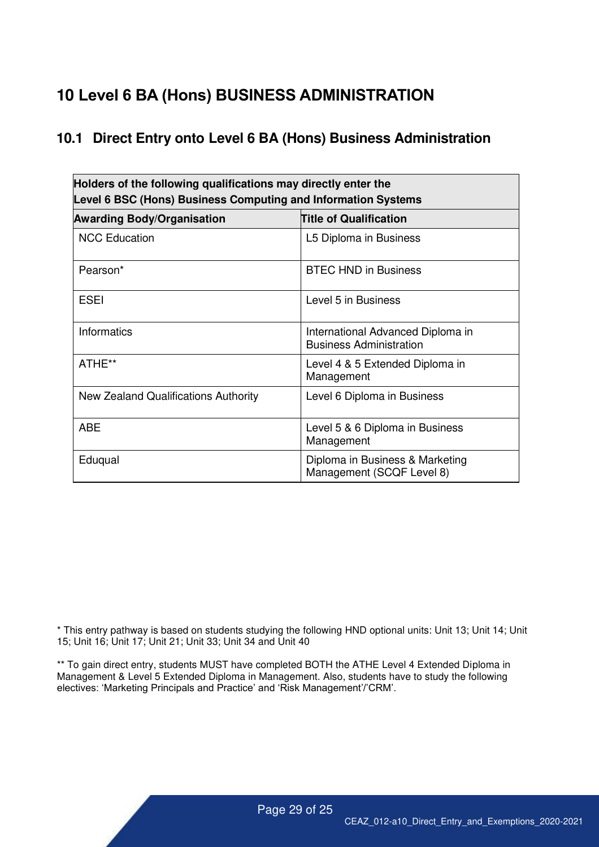# <span id="page-28-0"></span>**10 Level 6 BA (Hons) BUSINESS ADMINISTRATION**

#### <span id="page-28-1"></span>**10.1 Direct Entry onto Level 6 BA (Hons) Business Administration**

| Holders of the following qualifications may directly enter the<br>Level 6 BSC (Hons) Business Computing and Information Systems |                                                                     |  |  |  |
|---------------------------------------------------------------------------------------------------------------------------------|---------------------------------------------------------------------|--|--|--|
| <b>Title of Qualification</b><br><b>Awarding Body/Organisation</b>                                                              |                                                                     |  |  |  |
| <b>NCC Education</b>                                                                                                            | L5 Diploma in Business                                              |  |  |  |
| Pearson*                                                                                                                        | <b>BTEC HND in Business</b>                                         |  |  |  |
| <b>ESEI</b>                                                                                                                     | Level 5 in Business                                                 |  |  |  |
| Informatics                                                                                                                     | International Advanced Diploma in<br><b>Business Administration</b> |  |  |  |
| ATHE**                                                                                                                          | Level 4 & 5 Extended Diploma in<br>Management                       |  |  |  |
| New Zealand Qualifications Authority                                                                                            | Level 6 Diploma in Business                                         |  |  |  |
| <b>ABE</b>                                                                                                                      | Level 5 & 6 Diploma in Business<br>Management                       |  |  |  |
| Eduqual                                                                                                                         | Diploma in Business & Marketing<br>Management (SCQF Level 8)        |  |  |  |

\* This entry pathway is based on students studying the following HND optional units: Unit 13; Unit 14; Unit 15; Unit 16; Unit 17; Unit 21; Unit 33; Unit 34 and Unit 40

\*\* To gain direct entry, students MUST have completed BOTH the ATHE Level 4 Extended Diploma in Management & Level 5 Extended Diploma in Management. Also, students have to study the following electives: 'Marketing Principals and Practice' and 'Risk Management'/'CRM'.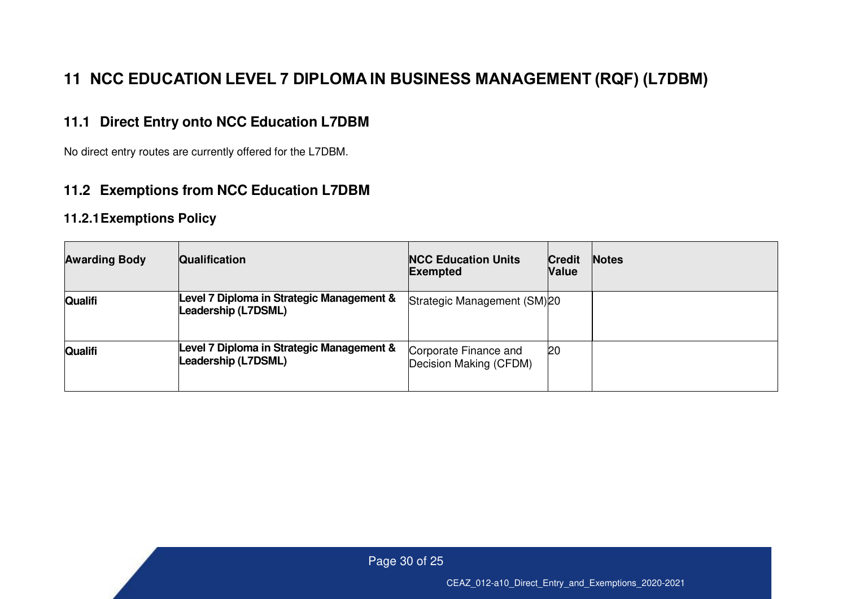# **11 NCC EDUCATION LEVEL 7 DIPLOMA IN BUSINESS MANAGEMENT (RQF) (L7DBM)**

#### **11.1 Direct Entry onto NCC Education L7DBM**

No direct entry routes are currently offered for the L7DBM.

#### **11.2 Exemptions from NCC Education L7DBM**

#### **11.2.1 Exemptions Policy**

<span id="page-29-3"></span><span id="page-29-2"></span><span id="page-29-1"></span><span id="page-29-0"></span>

| <b>Awarding Body</b> | <b>Qualification</b>                                             | <b>NCC Education Units</b><br><b>Exempted</b>   | <b>Credit</b><br><b>Value</b> | <b>Notes</b> |
|----------------------|------------------------------------------------------------------|-------------------------------------------------|-------------------------------|--------------|
| <b>Qualifi</b>       | Level 7 Diploma in Strategic Management &<br>Leadership (L7DSML) | Strategic Management (SM)20                     |                               |              |
| Qualifi              | Level 7 Diploma in Strategic Management &<br>Leadership (L7DSML) | Corporate Finance and<br>Decision Making (CFDM) | 20                            |              |

Page 30 of 25

CEAZ\_012-a10\_Direct\_Entry\_and\_Exemptions\_2020-2021